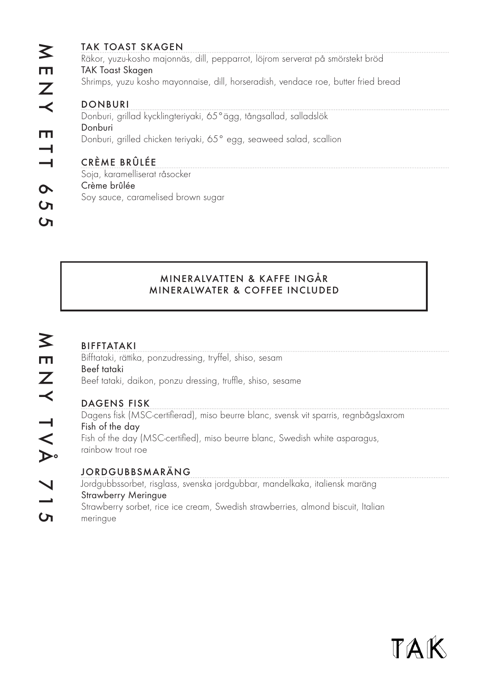| Räkor, yuzu-kosho majonnäs, dill, pepparrot, löjrom serverat på smörstekt bröd<br>Shrimps, yuzu kosho mayonnaise, dill, horseradish, vendace roe, butter fried bread<br>Donburi, grillad kycklingteriyaki, 65° ägg, tångsallad, salladslök<br>Donburi, grilled chicken teriyaki, 65° egg, seaweed salad, scallion<br>Soy sauce, caramelised brown sugar | <b>TAK TOAST SKAGEN</b>       |  |
|---------------------------------------------------------------------------------------------------------------------------------------------------------------------------------------------------------------------------------------------------------------------------------------------------------------------------------------------------------|-------------------------------|--|
|                                                                                                                                                                                                                                                                                                                                                         |                               |  |
|                                                                                                                                                                                                                                                                                                                                                         | <b>TAK Toast Skagen</b>       |  |
|                                                                                                                                                                                                                                                                                                                                                         |                               |  |
|                                                                                                                                                                                                                                                                                                                                                         | <b>DONBURI</b>                |  |
|                                                                                                                                                                                                                                                                                                                                                         |                               |  |
|                                                                                                                                                                                                                                                                                                                                                         | Donburi                       |  |
|                                                                                                                                                                                                                                                                                                                                                         |                               |  |
|                                                                                                                                                                                                                                                                                                                                                         | CRÈME BRÛLÉE                  |  |
|                                                                                                                                                                                                                                                                                                                                                         | Soja, karamelliserat råsocker |  |
|                                                                                                                                                                                                                                                                                                                                                         | Crème brûlée                  |  |
|                                                                                                                                                                                                                                                                                                                                                         |                               |  |
|                                                                                                                                                                                                                                                                                                                                                         |                               |  |
|                                                                                                                                                                                                                                                                                                                                                         |                               |  |

## MINERALVATTEN & KAFFE INGÅR MINERALWATER & COFFEE INCLUDED

## BIFFTATAKI

Bifftataki, rättika, ponzudressing, tryffel, shiso, sesam Beef tataki Beef tataki, daikon, ponzu dressing, truffle, shiso, sesame

## DAGENS FISK

Dagens fisk (MSC-certifierad), miso beurre blanc, svensk vit sparris, regnbågslaxrom Fish of the day Fish of the day (MSC-certified), miso beurre blanc, Swedish white asparagus, rainbow trout roe

## JORDGUBBSMARÄNG

Jordgubbssorbet, risglass, svenska jordgubbar, mandelkaka, italiensk maräng Strawberry Meringue Strawberry sorbet, rice ice cream, Swedish strawberries, almond biscuit, Italian meringue